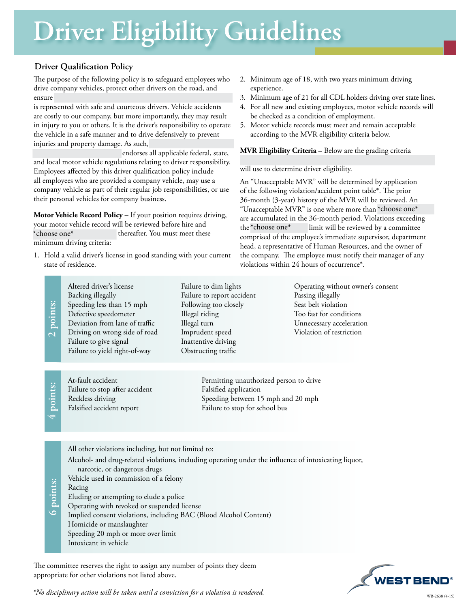# **Driver Eligibility Guidelines**

## **Driver Qualification Policy**

The purpose of the following policy is to safeguard employees who drive company vehicles, protect other drivers on the road, and ensure (Company's Name) jkhjihk kjhjen kjhjen kjhjhk kjhjen kjhjen kjhjen kjhjhk kjhjhk kjhjhk kjhihk kjhihk k

is represented with safe and courteous drivers. Vehicle accidents are costly to our company, but more importantly, they may result in injury to you or others. It is the driver's responsibility to operate the vehicle in a safe manner and to drive defensively to prevent injuries and property damage. As such,

endorses all applicable federal, state, and local motor vehicle regulations relating to driver responsibility. Employees affected by this driver qualification policy include all employees who are provided a company vehicle, may use a company vehicle as part of their regular job responsibilities, or use their personal vehicles for company business.

**Motor Vehicle Record Policy –** If your position requires driving, your motor vehicle record will be reviewed before hire and thereafter. You must meet these minimum driving criteria: \*choose one\*

1. Hold a valid driver's license in good standing with your current state of residence.

- 2. Minimum age of 18, with two years minimum driving experience.
- 3. Minimum age of 21 for all CDL holders driving over state lines.
- 4. For all new and existing employees, motor vehicle records will be checked as a condition of employment.
- 5. Motor vehicle records must meet and remain acceptable according to the MVR eligibility criteria below.

**MVR Eligibility Criteria –** Below are the grading criteria

will use to determine driver eligibility.

An "Unacceptable MVR" will be determined by application of the following violation/accident point table\*. The prior 36-month (3-year) history of the MVR will be reviewed. An "Unacceptable MVR" is one where more than  $\star$ choose one $\star$ are accumulated in the 36-month period. Violations exceeding limit will be reviewed by a committee comprised of the employee's immediate supervisor, department head, a representative of Human Resources, and the owner of the company. The employee must notify their manager of any violations within 24 hours of occurrence\*. \*choose one\*

|                                                                                                                                             | points:<br>$\overline{\mathcal{C}}$ | Altered driver's license<br>Backing illegally<br>Speeding less than 15 mph<br>Defective speedometer<br>Deviation from lane of traffic<br>Driving on wrong side of road<br>Failure to give signal<br>Failure to yield right-of-way                                                                                                                                                                                                                                                                          | Failure to dim lights<br>Failure to report accident<br>Following too closely<br>Illegal riding<br>Illegal turn<br>Imprudent speed<br>Inattentive driving<br>Obstructing traffic | Operating without owner's consent<br>Passing illegally<br>Seat belt violation<br>Too fast for conditions<br>Unnecessary acceleration<br>Violation of restriction |
|---------------------------------------------------------------------------------------------------------------------------------------------|-------------------------------------|------------------------------------------------------------------------------------------------------------------------------------------------------------------------------------------------------------------------------------------------------------------------------------------------------------------------------------------------------------------------------------------------------------------------------------------------------------------------------------------------------------|---------------------------------------------------------------------------------------------------------------------------------------------------------------------------------|------------------------------------------------------------------------------------------------------------------------------------------------------------------|
|                                                                                                                                             | $4$ points:                         | At-fault accident<br>Failure to stop after accident<br>Reckless driving<br>Falsified accident report                                                                                                                                                                                                                                                                                                                                                                                                       | Permitting unauthorized person to drive<br>Falsified application<br>Speeding between 15 mph and 20 mph<br>Failure to stop for school bus                                        |                                                                                                                                                                  |
|                                                                                                                                             | <b>6</b> points:                    | All other violations including, but not limited to:<br>Alcohol- and drug-related violations, including operating under the influence of intoxicating liquor,<br>narcotic, or dangerous drugs<br>Vehicle used in commission of a felony<br>Racing<br>Eluding or attempting to elude a police<br>Operating with revoked or suspended license<br>Implied consent violations, including BAC (Blood Alcohol Content)<br>Homicide or manslaughter<br>Speeding 20 mph or more over limit<br>Intoxicant in vehicle |                                                                                                                                                                                 |                                                                                                                                                                  |
| The committee reserves the right to assign any number of points they deem<br>$\frac{1}{\sqrt{2\pi}}\int_{-\infty}^{\infty}1^{2\pi}e^{-t}dt$ |                                     |                                                                                                                                                                                                                                                                                                                                                                                                                                                                                                            |                                                                                                                                                                                 |                                                                                                                                                                  |

*\*No disciplinary action will be taken until a conviction for a violation is rendered.* WB-2638 (4-15)

appropriate for other violations not listed above.

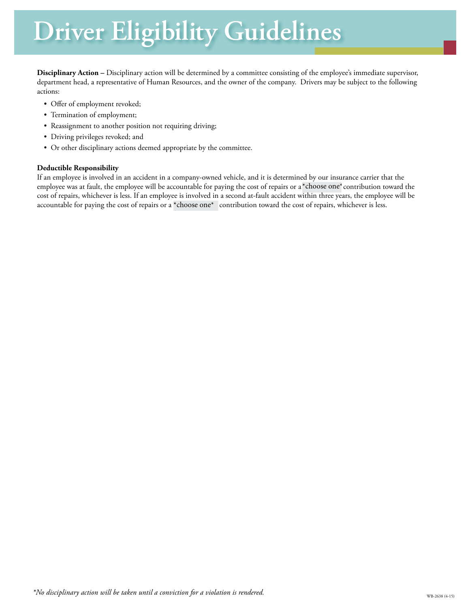# **Driver Eligibility Guidelines**

**Disciplinary Action –** Disciplinary action will be determined by a committee consisting of the employee's immediate supervisor, department head, a representative of Human Resources, and the owner of the company. Drivers may be subject to the following actions:

- Offer of employment revoked;
- Termination of employment;
- Reassignment to another position not requiring driving;
- Driving privileges revoked; and
- Or other disciplinary actions deemed appropriate by the committee.

#### **Deductible Responsibility**

If an employee is involved in an accident in a company-owned vehicle, and it is determined by our insurance carrier that the employee was at fault, the employee will be accountable for paying the cost of repairs or a\*choose one\*contribution toward the cost of repairs, whichever is less. If an employee is involved in a second at-fault accident within three years, the employee will be accountable for paying the cost of repairs or a \*choose one\* contribution toward the cost of repairs, whichever is less.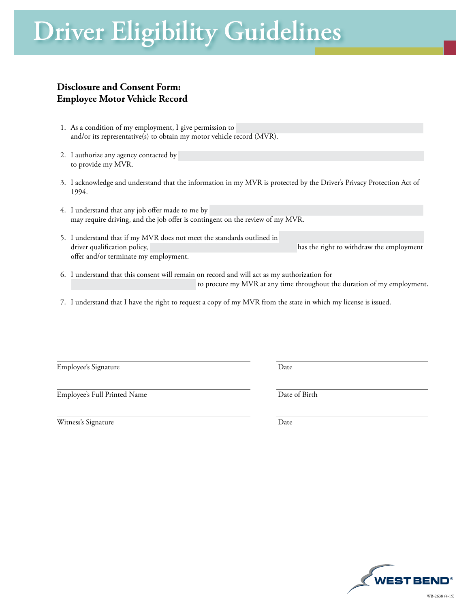# **Driver Eligibility Guidelines**

# **Disclosure and Consent Form: Employee Motor Vehicle Record**

- 1. As a condition of my employment, I give permission to and/or its representative(s) to obtain my motor vehicle record (MVR).
- 2. I authorize any agency contacted by to provide my MVR.
- 3. I acknowledge and understand that the information in my MVR is protected by the Driver's Privacy Protection Act of 1994.
- 4. I understand that any job offer made to me by may require driving, and the job offer is contingent on the review of my MVR.
- 5. I understand that if my MVR does not meet the standards outlined in driver qualification policy,  $\frac{1}{2}$  and  $\frac{1}{2}$  and  $\frac{1}{2}$  has the right to withdraw the employment offer and/or terminate my employment.
- 6. I understand that this consent will remain on record and will act as my authorization for to procure my MVR at any time throughout the duration of my employment.
- 7. I understand that I have the right to request a copy of my MVR from the state in which my license is issued.

Employee's Signature Date

Employee's Full Printed Name Date of Birth

Witness's Signature Date